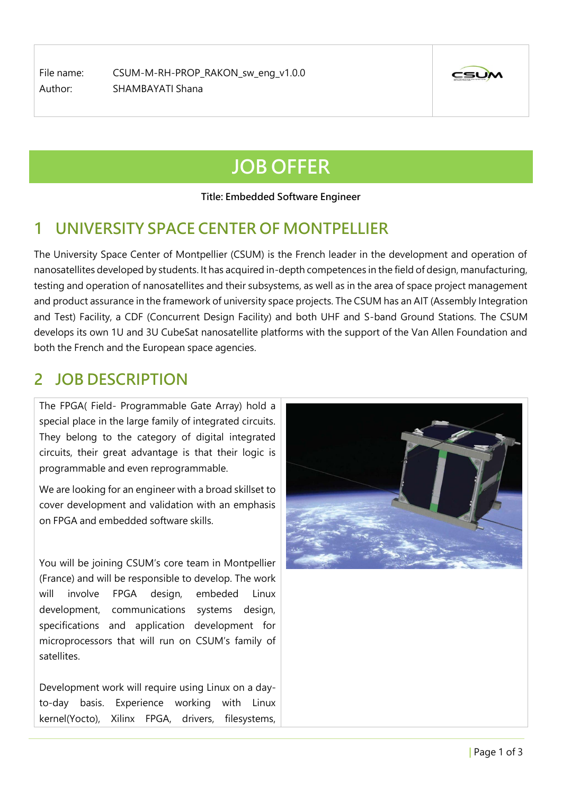File name: CSUM-M-RH-PROP\_RAKON\_sw\_eng\_v1.0.0 Author: SHAMBAYATI Shana



# **JOB OFFER**

**Title: Embedded Software Engineer**

# **1 UNIVERSITY SPACE CENTER OF MONTPELLIER**

The University Space Center of Montpellier (CSUM) is the French leader in the development and operation of nanosatellites developed by students. It has acquired in-depth competences in the field of design, manufacturing, testing and operation of nanosatellites and their subsystems, as well as in the area of space project management and product assurance in the framework of university space projects. The CSUM has an AIT (Assembly Integration and Test) Facility, a CDF (Concurrent Design Facility) and both UHF and S-band Ground Stations. The CSUM develops its own 1U and 3U CubeSat nanosatellite platforms with the support of the Van Allen Foundation and both the French and the European space agencies.

## **2 JOB DESCRIPTION**

The FPGA( Field- Programmable Gate Array) hold a special place in the large family of integrated circuits. They belong to the category of digital integrated circuits, their great advantage is that their logic is programmable and even reprogrammable.

We are looking for an engineer with a broad skillset to cover development and validation with an emphasis on FPGA and embedded software skills.

You will be joining CSUM's core team in Montpellier (France) and will be responsible to develop. The work will involve FPGA design, embeded Linux development, communications systems design, specifications and application development for microprocessors that will run on CSUM's family of satellites.

Development work will require using Linux on a dayto-day basis. Experience working with Linux kernel(Yocto), Xilinx FPGA, drivers, filesystems,

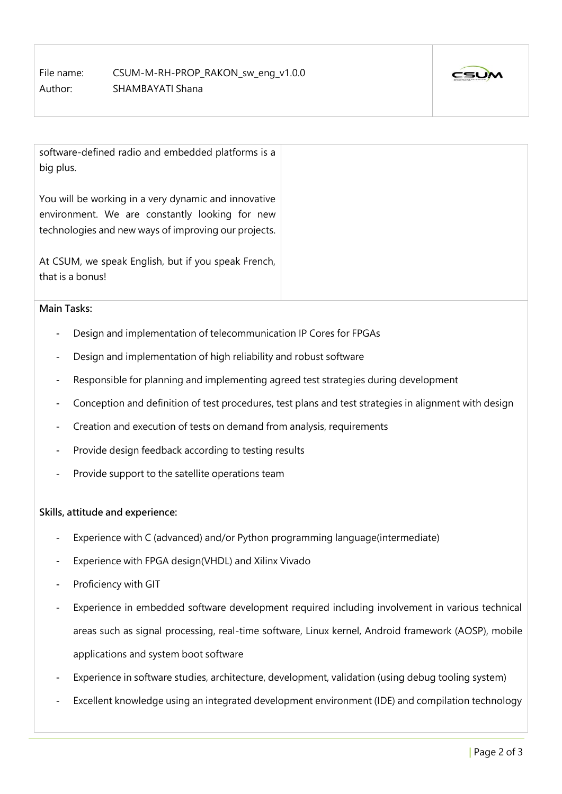File name: CSUM-M-RH-PROP\_RAKON\_sw\_eng\_v1.0.0 Author: SHAMBAYATI Shana



software-defined radio and embedded platforms is a big plus.

You will be working in a very dynamic and innovative environment. We are constantly looking for new technologies and new ways of improving our projects.

At CSUM, we speak English, but if you speak French, that is a bonus!

#### **Main Tasks:**

- Design and implementation of telecommunication IP Cores for FPGAs
- Design and implementation of high reliability and robust software
- Responsible for planning and implementing agreed test strategies during development
- Conception and definition of test procedures, test plans and test strategies in alignment with design
- Creation and execution of tests on demand from analysis, requirements
- Provide design feedback according to testing results
- Provide support to the satellite operations team

#### **Skills, attitude and experience:**

- Experience with C (advanced) and/or Python programming language(intermediate)
- Experience with FPGA design(VHDL) and Xilinx Vivado
- Proficiency with GIT
- Experience in embedded software development required including involvement in various technical areas such as signal processing, real-time software, Linux kernel, Android framework (AOSP), mobile applications and system boot software
- Experience in software studies, architecture, development, validation (using debug tooling system)
- Excellent knowledge using an integrated development environment (IDE) and compilation technology